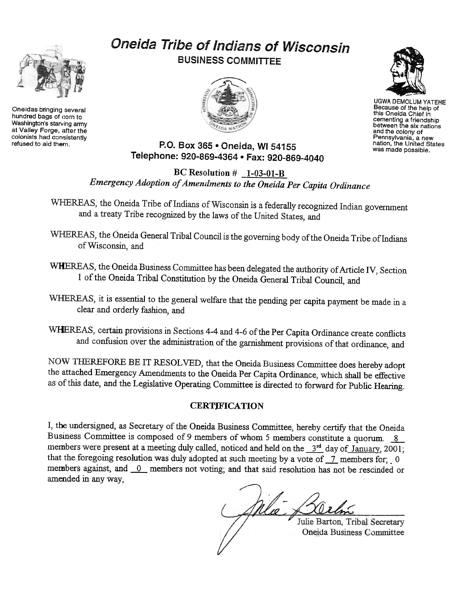

Oneidas bringing several hundred bags of corn to Washington's starving army at Valley Forge, after the colonists had consistently<br>refused to aid them.

## Oneida Tribe of Indians of Wisconsin BUSINESS COMMITTEE





UGWA DEMOLUM YATEHE Because of the help of this Oneida Chief in cementing a friendship between the six nations and the colony of Pennsylvania, a new nation, the United States was made possible.

P.O. Box 365 . Oneida, WI 54155 Telephone: 920-869-4364 · Fax: 920-869-4040

BC Resolution  $#_1-03-01-B$ Emergency Adoption of Amendments to the Oneida Per Capita Ordinance

WHEREAS, the Oneida Tribe of Indians of Wisconsin is a federally recognized Indian government and a treaty Tribe recognized by the laws of the United States; and

WHEREAS, the Oneida General Tribal Council is the governing body of the Oneida Tribe of Indians of Wisconsin, and

WHEREAS, the Oneida Business Committee has been delegated the authority of Article IV, Section I of the Oneida Tribal Constitution by the Oneida General Tribal Council, and

WHEREAS, it is essential to the general welfare that the pending per capita payment be made in a clear and orderly fashion, and

WHEREAS, certain provisions in Sections 4-4 and 4-6 of the Per Capita Ordinance create conflicts and confusion over the administration of the garnishment provisions of that ordinance, and

NOW THEREFORE BE IT RESOLVED, that the Oneida Business Committee does hereby adopt the attached Emergency Amendments to the Oneida Per Capita Ordinance, which shall be effective as of this date, and the Legislative Operating Committee is directed to forward for Public Hearing:

## **CERTIFICATION**

I, the undersigned, as Secretary of the Oneida Business Committee, hereby certify that the Oneida Business Committee is composed of 9 members of whom 5 members constitute a quorum. 8 members were present at a meeting duly called, noticed and held on the  $3<sup>rd</sup>$  day of January, 2001; that the foregoing resolution was duly adopted at such meeting by a vote of  $\overline{\phantom{a}}$  members for; -0 members against, and 0 members not voting; and that said resolution has not be rescinded or amended in any way,

Julie Barton, Tribal Secretary Oneida Business Committee